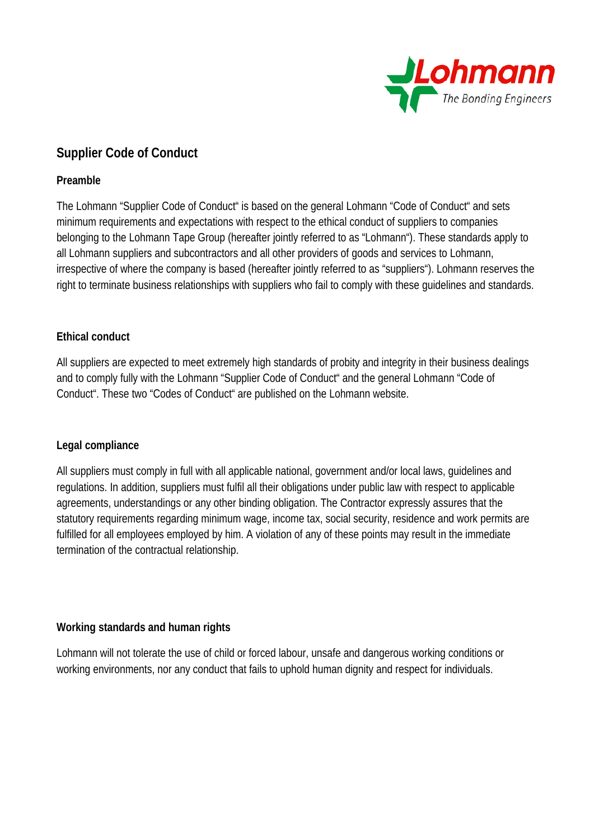

# **Supplier Code of Conduct**

## **Preamble**

The Lohmann "Supplier Code of Conduct" is based on the general Lohmann "Code of Conduct" and sets minimum requirements and expectations with respect to the ethical conduct of suppliers to companies belonging to the Lohmann Tape Group (hereafter jointly referred to as "Lohmann"). These standards apply to all Lohmann suppliers and subcontractors and all other providers of goods and services to Lohmann, irrespective of where the company is based (hereafter jointly referred to as "suppliers"). Lohmann reserves the right to terminate business relationships with suppliers who fail to comply with these guidelines and standards.

## **Ethical conduct**

All suppliers are expected to meet extremely high standards of probity and integrity in their business dealings and to comply fully with the Lohmann "Supplier Code of Conduct" and the general Lohmann "Code of Conduct". These two "Codes of Conduct" are published on the Lohmann website.

## **Legal compliance**

All suppliers must comply in full with all applicable national, government and/or local laws, guidelines and regulations. In addition, suppliers must fulfil all their obligations under public law with respect to applicable agreements, understandings or any other binding obligation. The Contractor expressly assures that the statutory requirements regarding minimum wage, income tax, social security, residence and work permits are fulfilled for all employees employed by him. A violation of any of these points may result in the immediate termination of the contractual relationship.

## **Working standards and human rights**

Lohmann will not tolerate the use of child or forced labour, unsafe and dangerous working conditions or working environments, nor any conduct that fails to uphold human dignity and respect for individuals.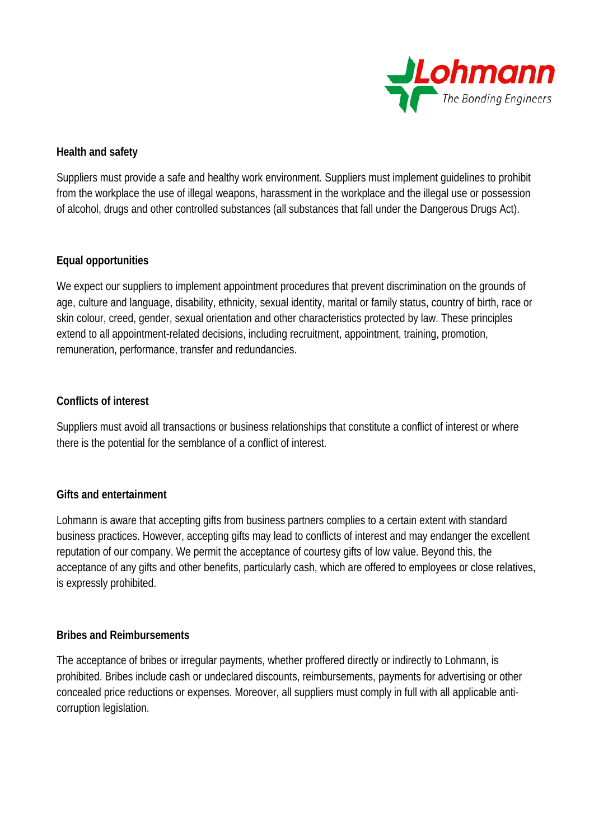

## **Health and safety**

Suppliers must provide a safe and healthy work environment. Suppliers must implement guidelines to prohibit from the workplace the use of illegal weapons, harassment in the workplace and the illegal use or possession of alcohol, drugs and other controlled substances (all substances that fall under the Dangerous Drugs Act).

## **Equal opportunities**

We expect our suppliers to implement appointment procedures that prevent discrimination on the grounds of age, culture and language, disability, ethnicity, sexual identity, marital or family status, country of birth, race or skin colour, creed, gender, sexual orientation and other characteristics protected by law. These principles extend to all appointment-related decisions, including recruitment, appointment, training, promotion, remuneration, performance, transfer and redundancies.

## **Conflicts of interest**

Suppliers must avoid all transactions or business relationships that constitute a conflict of interest or where there is the potential for the semblance of a conflict of interest.

## **Gifts and entertainment**

Lohmann is aware that accepting gifts from business partners complies to a certain extent with standard business practices. However, accepting gifts may lead to conflicts of interest and may endanger the excellent reputation of our company. We permit the acceptance of courtesy gifts of low value. Beyond this, the acceptance of any gifts and other benefits, particularly cash, which are offered to employees or close relatives, is expressly prohibited.

## **Bribes and Reimbursements**

The acceptance of bribes or irregular payments, whether proffered directly or indirectly to Lohmann, is prohibited. Bribes include cash or undeclared discounts, reimbursements, payments for advertising or other concealed price reductions or expenses. Moreover, all suppliers must comply in full with all applicable anticorruption legislation.